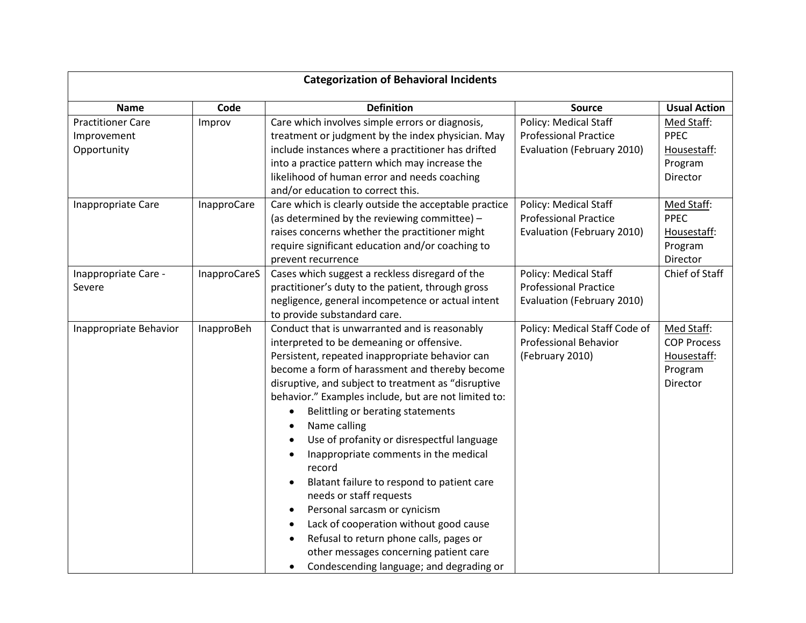| <b>Categorization of Behavioral Incidents</b>          |              |                                                                                                                                                                                                                                                                                                                                                                                                                                                                                                                                                                                                                                                                                                                                                                                                 |                                                                                            |                                                                        |  |  |  |
|--------------------------------------------------------|--------------|-------------------------------------------------------------------------------------------------------------------------------------------------------------------------------------------------------------------------------------------------------------------------------------------------------------------------------------------------------------------------------------------------------------------------------------------------------------------------------------------------------------------------------------------------------------------------------------------------------------------------------------------------------------------------------------------------------------------------------------------------------------------------------------------------|--------------------------------------------------------------------------------------------|------------------------------------------------------------------------|--|--|--|
| <b>Name</b>                                            | Code         | <b>Definition</b>                                                                                                                                                                                                                                                                                                                                                                                                                                                                                                                                                                                                                                                                                                                                                                               | Source                                                                                     | <b>Usual Action</b>                                                    |  |  |  |
| <b>Practitioner Care</b><br>Improvement<br>Opportunity | Improv       | Care which involves simple errors or diagnosis,<br>treatment or judgment by the index physician. May<br>include instances where a practitioner has drifted<br>into a practice pattern which may increase the<br>likelihood of human error and needs coaching<br>and/or education to correct this.                                                                                                                                                                                                                                                                                                                                                                                                                                                                                               | Policy: Medical Staff<br><b>Professional Practice</b><br>Evaluation (February 2010)        | Med Staff:<br><b>PPEC</b><br>Housestaff:<br>Program<br>Director        |  |  |  |
| Inappropriate Care                                     | InapproCare  | Care which is clearly outside the acceptable practice<br>(as determined by the reviewing committee) -<br>raises concerns whether the practitioner might<br>require significant education and/or coaching to<br>prevent recurrence                                                                                                                                                                                                                                                                                                                                                                                                                                                                                                                                                               | <b>Policy: Medical Staff</b><br><b>Professional Practice</b><br>Evaluation (February 2010) | Med Staff:<br><b>PPEC</b><br>Housestaff:<br>Program<br>Director        |  |  |  |
| Inappropriate Care -<br>Severe                         | InapproCareS | Cases which suggest a reckless disregard of the<br>practitioner's duty to the patient, through gross<br>negligence, general incompetence or actual intent<br>to provide substandard care.                                                                                                                                                                                                                                                                                                                                                                                                                                                                                                                                                                                                       | Policy: Medical Staff<br><b>Professional Practice</b><br>Evaluation (February 2010)        | Chief of Staff                                                         |  |  |  |
| Inappropriate Behavior                                 | InapproBeh   | Conduct that is unwarranted and is reasonably<br>interpreted to be demeaning or offensive.<br>Persistent, repeated inappropriate behavior can<br>become a form of harassment and thereby become<br>disruptive, and subject to treatment as "disruptive<br>behavior." Examples include, but are not limited to:<br>Belittling or berating statements<br>$\bullet$<br>Name calling<br>Use of profanity or disrespectful language<br>Inappropriate comments in the medical<br>record<br>Blatant failure to respond to patient care<br>needs or staff requests<br>Personal sarcasm or cynicism<br>$\bullet$<br>Lack of cooperation without good cause<br>Refusal to return phone calls, pages or<br>$\bullet$<br>other messages concerning patient care<br>Condescending language; and degrading or | Policy: Medical Staff Code of<br><b>Professional Behavior</b><br>(February 2010)           | Med Staff:<br><b>COP Process</b><br>Housestaff:<br>Program<br>Director |  |  |  |